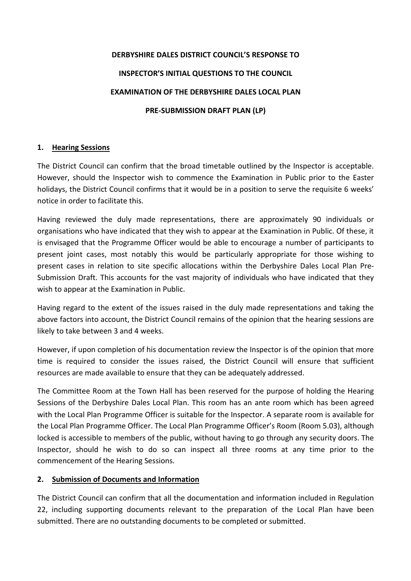# DERBYSHIRE DALES DISTRICT COUNCIL'S RESPONSE TO INSPECTOR'S INITIAL QUESTIONS TO THE COUNCIL EXAMINATION OF THE DERBYSHIRE DALES LOCAL PLAN PRE-SUBMISSION DRAFT PLAN (LP)

# 1. Hearing Sessions

The District Council can confirm that the broad timetable outlined by the Inspector is acceptable. However, should the Inspector wish to commence the Examination in Public prior to the Easter holidays, the District Council confirms that it would be in a position to serve the requisite 6 weeks' notice in order to facilitate this.

Having reviewed the duly made representations, there are approximately 90 individuals or organisations who have indicated that they wish to appear at the Examination in Public. Of these, it is envisaged that the Programme Officer would be able to encourage a number of participants to present joint cases, most notably this would be particularly appropriate for those wishing to present cases in relation to site specific allocations within the Derbyshire Dales Local Plan Pre-Submission Draft. This accounts for the vast majority of individuals who have indicated that they wish to appear at the Examination in Public.

Having regard to the extent of the issues raised in the duly made representations and taking the above factors into account, the District Council remains of the opinion that the hearing sessions are likely to take between 3 and 4 weeks.

However, if upon completion of his documentation review the Inspector is of the opinion that more time is required to consider the issues raised, the District Council will ensure that sufficient resources are made available to ensure that they can be adequately addressed.

The Committee Room at the Town Hall has been reserved for the purpose of holding the Hearing Sessions of the Derbyshire Dales Local Plan. This room has an ante room which has been agreed with the Local Plan Programme Officer is suitable for the Inspector. A separate room is available for the Local Plan Programme Officer. The Local Plan Programme Officer's Room (Room 5.03), although locked is accessible to members of the public, without having to go through any security doors. The Inspector, should he wish to do so can inspect all three rooms at any time prior to the commencement of the Hearing Sessions.

## 2. Submission of Documents and Information

The District Council can confirm that all the documentation and information included in Regulation 22, including supporting documents relevant to the preparation of the Local Plan have been submitted. There are no outstanding documents to be completed or submitted.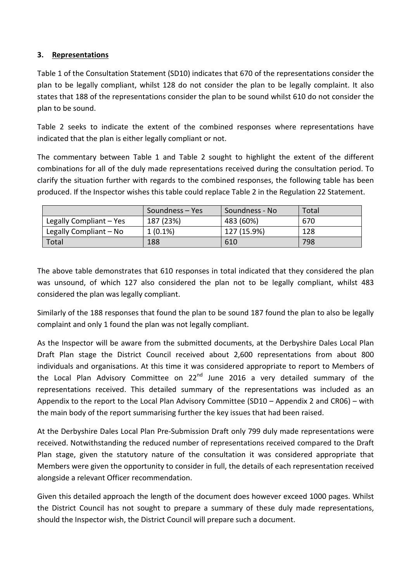## 3. Representations

Table 1 of the Consultation Statement (SD10) indicates that 670 of the representations consider the plan to be legally compliant, whilst 128 do not consider the plan to be legally complaint. It also states that 188 of the representations consider the plan to be sound whilst 610 do not consider the plan to be sound.

Table 2 seeks to indicate the extent of the combined responses where representations have indicated that the plan is either legally compliant or not.

The commentary between Table 1 and Table 2 sought to highlight the extent of the different combinations for all of the duly made representations received during the consultation period. To clarify the situation further with regards to the combined responses, the following table has been produced. If the Inspector wishes this table could replace Table 2 in the Regulation 22 Statement.

|                         | Soundness – Yes | Soundness - No | Total |
|-------------------------|-----------------|----------------|-------|
| Legally Compliant - Yes | 187 (23%)       | 483 (60%)      | 670   |
| Legally Compliant - No  | $1(0.1\%)$      | 127 (15.9%)    | 128   |
| Total                   | 188             | 610            | 798   |

The above table demonstrates that 610 responses in total indicated that they considered the plan was unsound, of which 127 also considered the plan not to be legally compliant, whilst 483 considered the plan was legally compliant.

Similarly of the 188 responses that found the plan to be sound 187 found the plan to also be legally complaint and only 1 found the plan was not legally compliant.

As the Inspector will be aware from the submitted documents, at the Derbyshire Dales Local Plan Draft Plan stage the District Council received about 2,600 representations from about 800 individuals and organisations. At this time it was considered appropriate to report to Members of the Local Plan Advisory Committee on  $22^{nd}$  June 2016 a very detailed summary of the representations received. This detailed summary of the representations was included as an Appendix to the report to the Local Plan Advisory Committee (SD10 – Appendix 2 and CR06) – with the main body of the report summarising further the key issues that had been raised.

At the Derbyshire Dales Local Plan Pre-Submission Draft only 799 duly made representations were received. Notwithstanding the reduced number of representations received compared to the Draft Plan stage, given the statutory nature of the consultation it was considered appropriate that Members were given the opportunity to consider in full, the details of each representation received alongside a relevant Officer recommendation.

Given this detailed approach the length of the document does however exceed 1000 pages. Whilst the District Council has not sought to prepare a summary of these duly made representations, should the Inspector wish, the District Council will prepare such a document.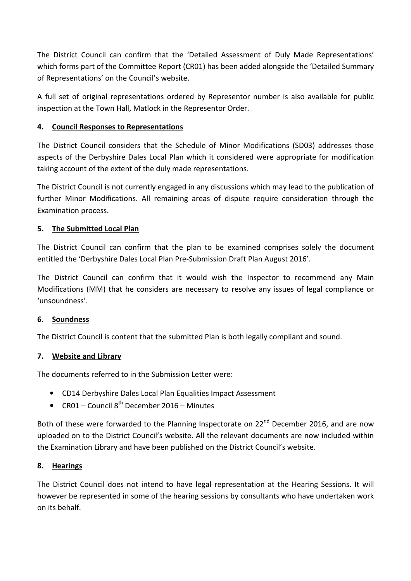The District Council can confirm that the 'Detailed Assessment of Duly Made Representations' which forms part of the Committee Report (CR01) has been added alongside the 'Detailed Summary of Representations' on the Council's website.

A full set of original representations ordered by Representor number is also available for public inspection at the Town Hall, Matlock in the Representor Order.

# 4. Council Responses to Representations

The District Council considers that the Schedule of Minor Modifications (SD03) addresses those aspects of the Derbyshire Dales Local Plan which it considered were appropriate for modification taking account of the extent of the duly made representations.

The District Council is not currently engaged in any discussions which may lead to the publication of further Minor Modifications. All remaining areas of dispute require consideration through the Examination process.

## 5. The Submitted Local Plan

The District Council can confirm that the plan to be examined comprises solely the document entitled the 'Derbyshire Dales Local Plan Pre-Submission Draft Plan August 2016'.

The District Council can confirm that it would wish the Inspector to recommend any Main Modifications (MM) that he considers are necessary to resolve any issues of legal compliance or 'unsoundness'.

## 6. Soundness

The District Council is content that the submitted Plan is both legally compliant and sound.

## 7. Website and Library

The documents referred to in the Submission Letter were:

- CD14 Derbyshire Dales Local Plan Equalities Impact Assessment
- CR01 Council  $8^{th}$  December 2016 Minutes

Both of these were forwarded to the Planning Inspectorate on 22<sup>nd</sup> December 2016, and are now uploaded on to the District Council's website. All the relevant documents are now included within the Examination Library and have been published on the District Council's website.

## 8. Hearings

The District Council does not intend to have legal representation at the Hearing Sessions. It will however be represented in some of the hearing sessions by consultants who have undertaken work on its behalf.